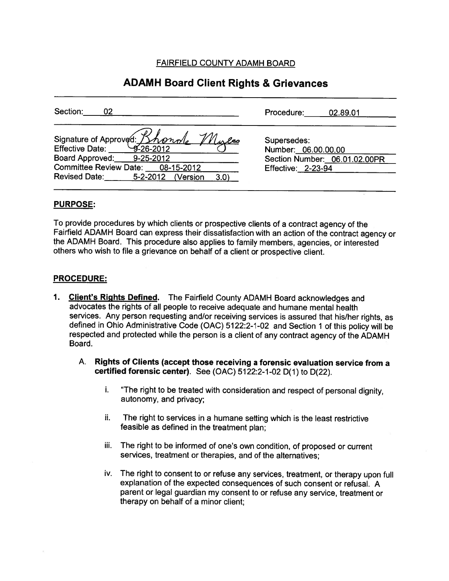FAIRFIELD COUNTY ADAMH BOARD

# ADAMH Board Client Rights & Grievances

| Section:                                                                                                                                                    | Procedure:                                                                                       |
|-------------------------------------------------------------------------------------------------------------------------------------------------------------|--------------------------------------------------------------------------------------------------|
| 02                                                                                                                                                          | 02.89.01                                                                                         |
| signature of Approved: <i>Bhondle</i><br>Mulco<br>Board Approved: 9-25-2012<br>Committee Review Date: 08-15-2012<br>Revised Date: 5-2-2012 (Version<br>3.0) | Supersedes:<br>Number: 06.00.00.00<br>Section Number: 06.01.02.00PR<br><b>Effective: 2-23-94</b> |

### PURPOSE:

To provide procedures by which clients or prospective clients of <sup>a</sup> contract agency of the Fairfield ADAMH Board can express their dissatisfaction with an action of the contract agency or the ADAMH Board. This procedure also applies to family members, agencies, or interested others who wish to file <sup>a</sup> grievance on behalf of <sup>a</sup> client or prospective client.

# PROCEDURE:

- 1. Client's Rights Defined. The Fairfield County ADAMH Board acknowledges and advocates the rights of all people to receive adequate and humane mental health services. Any person requesting and/or receiving services is assured that his/her rights, as defined in Ohio Administrative Code (OAC) 5122:2-1-02 and Section <sup>1</sup> of this policy will be respected and protected while the person is <sup>a</sup> client of any contract agency of the ADAMH Board.
	- A. Rights of Clients (accept those receiving <sup>a</sup> forensic evaluation service from <sup>a</sup> certified forensic center). See (OAC) 5122:2-1 -02 D(1) to D(22).
		- i. "The right to be treated with consideration and respec<sup>t</sup> of persona<sup>l</sup> dignity, autonomy, and privacy;
		- ii. The right to services in <sup>a</sup> humane setting which is the least restrictive feasible as defined in the treatment <sup>p</sup>lan;
		- iii. The right to be informed of one's own condition, of propose<sup>d</sup> or current services, treatment or therapies, and of the alternatives;
		- iv. The right to consent to or refuse any services, treatment, or therapy upon full explanation of the expected consequences of such consent or refusal. <sup>A</sup> paren<sup>t</sup> or legal guardian my consent to or refuse any service, treatment or therapy on behalf of <sup>a</sup> minor client;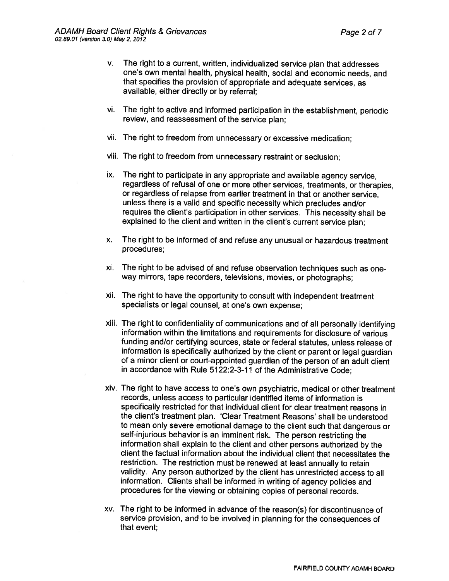- v. The right to <sup>a</sup> current, written, individualized service <sup>p</sup>lan that addresses one's own mental health, physical health, social and economic needs, and that specifies the provision of appropriate and adequate services, as available, either directly or by referral;
- vi. The right to active and informed participation in the establishment, periodic review, and reassessment of the service <sup>p</sup>lan;
- vii. The right to freedom from unnecessary or excessive medication;
- viii. The right to freedom from unnecessary restraint or seclusion;
- ix. The right to participate in any appropriate and available agency service, regardless of refusal of one or more other services, treatments, or therapies, or regardless of relapse from earlier treatment in that or another service, unless there is <sup>a</sup> valid and specific necessity which precludes and/or requires the client's participation in other services. This necessity shall be explained to the client and written in the client's current service <sup>p</sup>lan;
- x. The right to be informed of and refuse any unusual or hazardous treatment procedures;
- xi. The right to be advised of and refuse observation techniques such as oneway mirrors, tape recorders, televisions, movies, or <sup>p</sup>hotographs;
- xii. The right to have the opportunity to consult with independent treatment specialists or legal counsel, at one's own expense;
- xiii. The right to confidentiality of communications and of all personally identifying information within the limitations and requirements for disclosure of various funding and/or certifying sources, state or federal statutes, unless release of information is specifically authorized by the client or parent or legal guardian of <sup>a</sup> minor client or court-appointed guardian of the person of an adult client in accordance with Rule 5122:2-3-11 of the Administrative Code;
- xiv. The right to have access to one's own psychiatric, medical or other treatment records, unless access to particular identified items of information is specifically restricted for that individual client for clear treatment reasons in the client's treatment plan. 'Clear Treatment Reasons' shall be understood to mean only severe emotional damage to the client such that dangerous or self-injurious behavior is an imminent risk. The person restricting the information shall explain to the client and other persons authorized by the client the factual information about the individual client that necessitates the restriction. The restriction must be renewed at least annually to retain validity. Any person authorized by the client has unrestricted access to all information. Clients shall be informed in writing of agency policies and procedures for the viewing or obtaining copies of personal records.
- xv. The right to be informed in advance of the reason(s) for discontinuance of service provision, and to be involved in <sup>p</sup>lanning for the consequences of that event;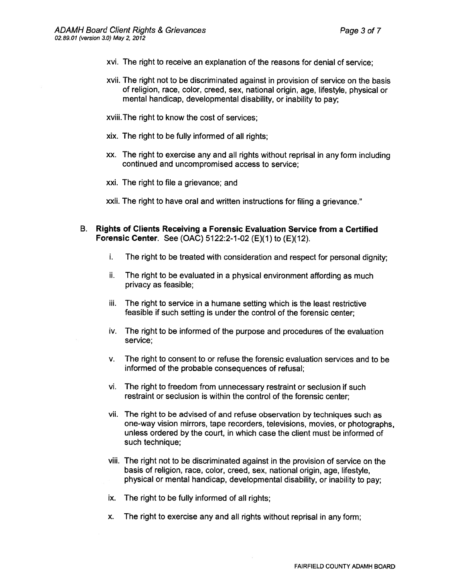- xvi. The right to receive an explanation of the reasons for denial of service;
- xvii. The right not to be discriminated against in provision of service on the basis of religion, race, color, creed, sex, national origin, age, lifestyle, <sup>p</sup>hysical or mental handicap, developmental disability, or inability to pay;
- xviii.The right to know the cost of services;
- xix. The right to be fully informed of all rights;
- xx. The right to exercise any and all rights without reprisal in any form including continued and uncompromised access to service;
- xxi. The right to file <sup>a</sup> grievance; and

xxii. The right to have oral and written instructions for filing <sup>a</sup> grievance."

- B. Rights of Clients Receiving <sup>a</sup> Forensic Evaluation Service from <sup>a</sup> Certified Forensic Center. See (OAC)  $5122:2-1-02$  (E)(1) to (E)(12).
	- i. The right to be treated with consideration and respec<sup>t</sup> for persona<sup>l</sup> dignity;
	- ii. The right to be evaluated in <sup>a</sup> <sup>p</sup>hysical environment affording as much privacy as feasible;
	- iii. The right to service in <sup>a</sup> humane setting which is the least restrictive feasible if such setting is under the control of the forensic center;
	- iv. The right to be informed of the purpose and procedures of the evaluation service;
	- v. The right to consent to or refuse the forensic evaluation services and to be informed of the probable consequences of refusal;
	- vi. The right to freedom from unnecessary restraint or seclusion if such restraint or seclusion is within the control of the forensic center;
	- vii. The right to be advised of and refuse observation by techniques such as one-way vision mirrors, tape recorders, televisions, movies, or photographs, unless ordered by the court, in which case the client must be informed of such technique;
	- viii. The right not to be discriminated against in the provision of service on the basis of religion, race, color, creed, sex, national origin, age, lifestyle, <sup>p</sup>hysical or mental handicap, developmental disability, or inability to pay;
	- ix. The right to be fully informed of all rights;
	- x. The right to exercise any and all rights without reprisal in any form;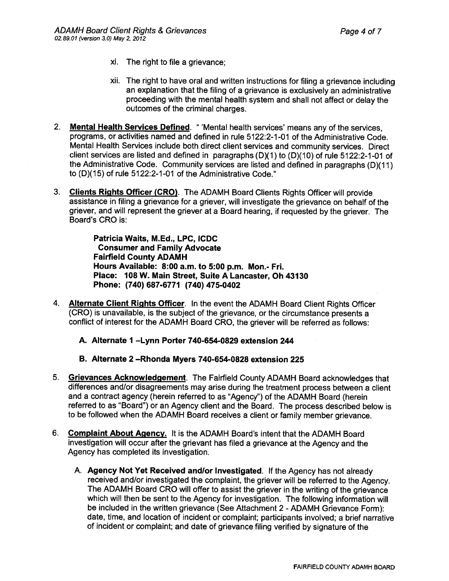- xi. The right to file <sup>a</sup> grievance;
- xii. The right to have oral and written instructions for filing <sup>a</sup> grievance including an explanation that the filing of <sup>a</sup> grievance is exclusively an administrative proceeding with the mental health system and shall not affect or delay the outcomes of the criminal charges.
- 2. Mental Health Services Defined. " 'Mental health services' means any of the services, programs, or activities named and defined in rule 5122:2-1-01 of the Administrative Code. Mental Health Services include both direct client services and community services. Direct client services are listed and defined in paragraphs  $(D)(1)$  to  $(D)(10)$  of rule 5122:2-1-01 of the Administrative Code. Community services are listed and defined in paragraphs (D)(1 1) to (D)(15) of rule 5122:2-1 -01 of the Administrative Code."
- 3. Clients Rights Officer (CRO). The ADAMH Board Clients Rights Officer will provide assistance in filing <sup>a</sup> grievance for <sup>a</sup> griever, will investigate the grievance on behalf of the griever, and will represen<sup>t</sup> the griever at <sup>a</sup> Board hearing, if requested by the griever. The Board's CRO is:

Patricia Waits, M.Ed., LPC, ICDC Consumer and Family Advocate **Fairfield County ADAMH** Hours Available: 8:00 a.m. to 5:00 p.m. Mon.- Fri. Place: 108 W. Main Street, Suite A Lancaster, Oh 43130 Phone: (740) 687-6771 (740) 475-0402

- 4. Alternate Client Rights Officer. In the event the ADAMH Board Client Rights Officer (CRC) is unavailable, is the subject of the grievance, or the circumstance presents <sup>a</sup> conflict of interest for the ADAMH Board CRC, the griever will be referred as follows:
	- A. Alternate I —Lynn Porter 740-654-0829 extension 244
	- B. Alternate 2 —Rhonda Myers 740-654-0828 extension 225
- 5. Grievances Acknowledgement. The Fairfield County ADAMH Board acknowledges that differences and/or disagreements may arise during the treatment process between <sup>a</sup> client and <sup>a</sup> contract agency (herein referred to as "Agency") of the ADAMH Board (herein referred to as "Board") or an Agency client and the Board. The process described below is to be followed when the ADAMH Board receives <sup>a</sup> client or family member grievance.
- 6. Complaint About Agency. It is the ADAMH Board's intent that the ADAMH Board investigation will occur after the grievant has filed <sup>a</sup> grievance at the Agency and the Agency has completed its investigation.
	- A. Agency Not Yet Received andlor Investigated. If the Agency has not already received and/or investigated the complaint, the griever will be referred to the Agency. The ADAMH Board CRC will offer to assist the griever in the writing of the grievance which will then be sent to the Agency for investigation. The following information will be included in the written grievance (See Attachment <sup>2</sup> - ADAMH Grievance Form): date, time, and location of incident or complaint; participants involved; <sup>a</sup> brief narrative of incident or complaint; and date of grievance filing verified by signature of the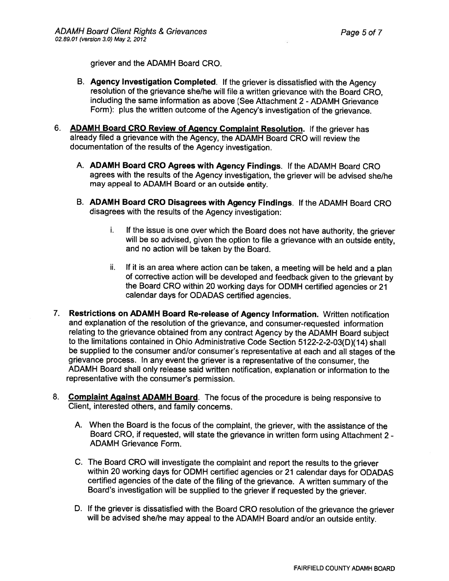griever and the ADAMH Board CRC.

- B. Agency Investigation Completed. If the griever is dissatisfied with the Agency resolution of the grievance she/he will file <sup>a</sup> written grievance with the Board CRC, including the same information as above (See Attachment 2 - ADAMH Grievance Form): <sup>p</sup>lus the written outcome of the Agency's investigation of the grievance.
- 6. ADAMH Board CRO Review of Agency Complaint Resolution. If the griever has already filed <sup>a</sup> grievance with the Agency, the ADAMH Board CR0 will review the documentation of the results of the Agency investigation.
	- A. ADAMH Board CR0 Agrees with Agency Findings. If the ADAMH Board CRC agrees with the results of the Agency investigation, the griever will be advised she/he may appeal to ADAMH Board or an outside entity.
	- B. ADAMH Board CR0 Disagrees with Agency Findings. If the ADAMH Board CRC disagrees with the results of the Agency investigation:
		- i. If the issue is one over which the Board does not have authority, the griever will be so advised, <sup>g</sup>iven the option to file <sup>a</sup> grievance with an outside entity, and no action will be taken by the Board.
		- ii. If it is an area where action can be taken, <sup>a</sup> meeting will be held and <sup>a</sup> <sup>p</sup>lan of corrective action will be developed and feedback <sup>g</sup>iven to the grievant by the Board CRC within <sup>20</sup> working days for ODMH certified agencies or <sup>21</sup> calendar days for CDADAS certified agencies.
- 7. Restrictions on ADAMH Board Re-release of Agency Information. Written notification and explanation of the resolution of the grievance, and consumer-requested information relating to the grievance obtained from any contract Agency by the ADAMH Board subject to the limitations contained in Ohio Administrative Code Section 5122-2-2-03(D)(14) shall be supplied to the consumer and/or consumer's representative at each and all stages of the grievance process. In any event the griever is <sup>a</sup> representative of the consumer, the ADAMH Board shall only release said written notification, explanation or information to the representative with the consumer's permission.
- 8. Complaint Against ADAMH Board. The focus of the procedure is being responsive to Client, interested others, and family concerns.
	- A. When the Board is the focus of the complaint, the griever, with the assistance of the Board CR0, if requested, will state the grievance in written form using Attachment <sup>2</sup> - ADAMH Grievance Form.
	- C. The Board CR0 will investigate the complaint and repor<sup>t</sup> the results to the griever within <sup>20</sup> working days for ODMH certified agencies or <sup>21</sup> calendar days for ODADAS certified agencies of the date of the filing of the grievance. <sup>A</sup> written summary of the Board's investigation will be supplied to the griever if requested by the griever.
	- D. If the griever is dissatisfied with the Board CRC resolution of the grievance the griever will be advised she/he may appeal to the ADAMH Board and/or an outside entity.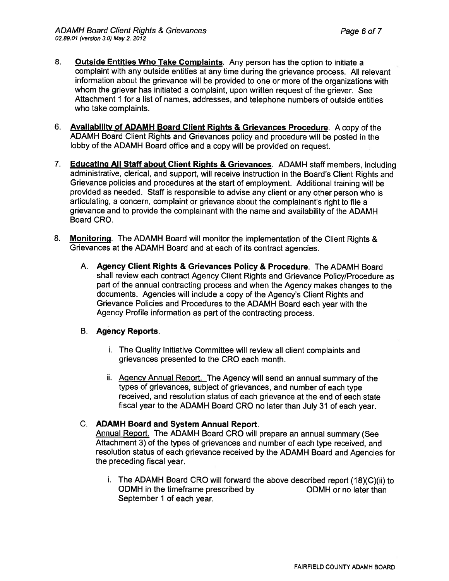- 8. Outside Entities Who Take Complaints. Any person has the option to initiate a complaint with any outside entities at any time during the grievance process. All relevant information about the grievance will be provided to one or more of the organizations with whom the griever has initiated <sup>a</sup> complaint, upon written reques<sup>t</sup> of the griever. See Attachment 1 for <sup>a</sup> list of names, addresses, and telephone numbers of outside entities who take complaints.
- 6. Availability of ADAMH Board Client Rights & Grievances Procedure. <sup>A</sup> copy of the ADAMH Board Client Rights and Grievances policy and procedure will be posted in the lobby of the ADAMH Board office and <sup>a</sup> copy will be provided on request.
- 7. Educating All Staff about Client Rights & Grievances. ADAMH staff members, including administrative, clerical, and support, will receive instruction in the Board's Client Rights and Grievance policies and procedures at the start of employment. Additional training will be provided as needed. Staff is responsible to advise any client or any other person who is articulating, <sup>a</sup> concern, complaint or grievance about the complainant's right to file <sup>a</sup> grievance and to provide the complainant with the name and availability of the ADAMH Board CRC.
- 8. Monitoring. The ADAMH Board will monitor the implementation of the Client Rights & Grievances at the ADAMH Board and at each of its contract agencies.
	- A. Agency Client Rights & Grievances Policy & Procedure. The ADAMH Board shall review each contract Agency Client Rights and Grievance Policy/Procedure as par<sup>t</sup> of the annual contracting process and when the Agency makes changes to the documents. Agencies will include <sup>a</sup> copy of the Agency's Client Rights and Grievance Policies and Procedures to the ADAMH Board each year with the Agency Profile information as par<sup>t</sup> of the contracting process.

# B. Agency Reports.

- i. The Quality Initiative Committee will review all client complaints and grievances presented to the CR0 each month.
- ii. Agency Annual Report. The Agency will send an annual summary of the types of grievances, subject of grievances, and number of each type received, and resolution status of each grievance at the end of each state fiscal year to the ADAMH Board CR0 no later than July <sup>31</sup> of each year.

# C. ADAMH Board and System Annual Report.

Annual Report. The ADAMH Board CRC will prepare an annual summary (See Attachment 3) of the types of grievances and number of each type received, and resolution status of each grievance received by the ADAMH Board and Agencies for the preceding fiscal year.

i. The ADAMH Board CRC will forward the above described repor<sup>t</sup> (18)(C)(ii) to ODMH in the timeframe prescribed by ODMH or no later than September 1 of each year.